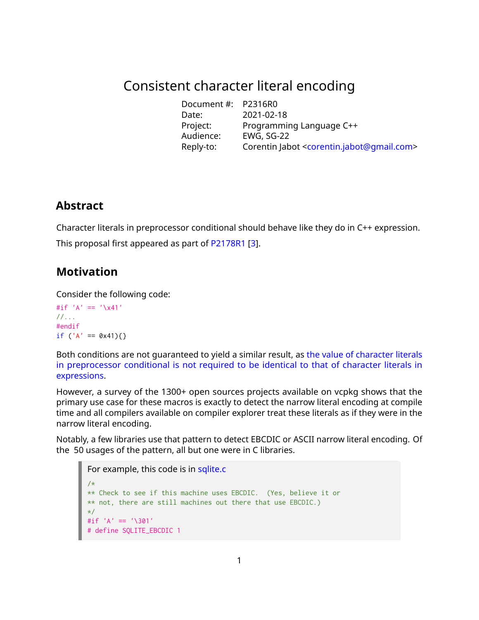# Consistent character literal encoding

Document #: P2316R0 Date: 2021-02-18 Programming Language C++ Project: Programmir<br>Audience: EWG, SG-22<br>Reply-to: Corentin Jab Corentin Jabot [<corentin.jabot@gmail.com>](mailto:corentin.jabot@gmail.com)

# **Abstract**

Character literals in preprocessor conditional should behave like they do in C++ expression. This proposal first appeared as part of [P2178R1](https://wg21.link/P2178R1) [\[3\]](#page-2-0).

# **Motivation**

Consider the following code:

```
#if 'A' == '\x41'
//...
#endif
if ('A' == 0x41){})
```
Both conditions are not guaranteed to yield a similar result, as [the value of character literals](http://eel.is/c++draft/cpp#cond-12) [in preprocessor conditional is not required to be identical to that of character literals in](http://eel.is/c++draft/cpp#cond-12) [expressions.](http://eel.is/c++draft/cpp#cond-12)

However, a survey of the 1300+ open sources projects available on vcpkg shows that the primary use case for these macros is exactly to detect the narrow literal encoding at compile time and all compilers available on compiler explorer treat these literals as if they were in the narrow literal encoding.

Notably, a few libraries use that pattern to detect EBCDIC or ASCII narrow literal encoding. Of the 50 usages of the pattern, all but one were in C libraries.

```
sqlite.c
/\star** Check to see if this machine uses EBCDIC. (Yes, believe it or
** not, there are still machines out there that use EBCDIC.)
*/
#if 'A' == '\301'
# define SQLITE_EBCDIC 1
```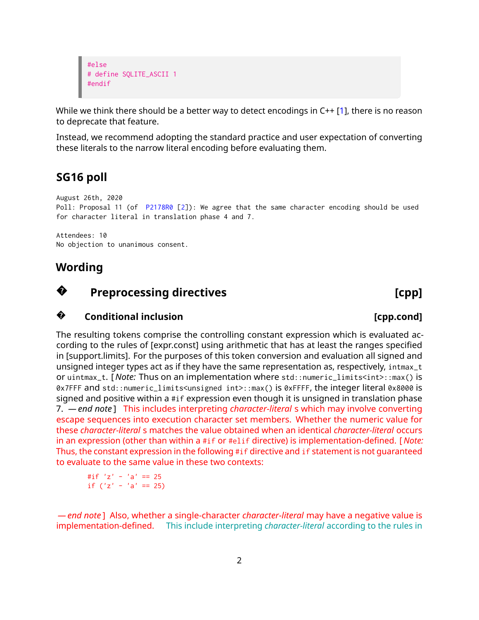```
#else
# define SQLITE_ASCII 1
#endif
```
While we think there should be a better way to detect encodings in C++ [\[1\]](#page-2-1), there is no reason to deprecate that feature.

Instead, we recommend adopting the standard practice and user expectation of converting these literals to the narrow literal encoding before evaluating them.

# **SG16 poll**

August 26th, 2020 Poll: Proposal 11 (of [P2178R0](https://wg21.link/P2178R0) [\[2\]](#page-2-2)): We agree that the same character encoding should be used for character literal in translation phase 4 and 7.

Attendees: 10 No objection to unanimous consent.

### **Wording**

## **?**

## **Preprocessing directives and the example of the control of the control of the control of the control of the control of the control of the control of the control of the control of the control of the control of the contro**

### **?Conditional inclusion Exercise 2.1 (CDP)** [cpp.cond]

The resulting tokens comprise the controlling constant expression which is evaluated according to the rules of [expr.const] using arithmetic that has at least the ranges specified in [support.limits]. For the purposes of this token conversion and evaluation all signed and unsigned integer types act as if they have the same representation as, respectively, intmax\_t or uintmax\_t. [ *Note:* Thus on an implementation where std::numeric\_limits<int>::max() is 0x7FFF and std::numeric\_limits<unsigned int>::max() is 0xFFFF, the integer literal 0x8000 is signed and positive within a #if expression even though it is unsigned in translation phase 7. *— end note* ] This includes interpreting *character-literal* s which may involve converting escape sequences into execution character set members. Whether the numeric value for these *character-literal* s matches the value obtained when an identical *character-literal* occurs in an expression (other than within a #if or #elif directive) is implementation-defined. [ *Note:* Thus, the constant expression in the following #if directive and if statement is not guaranteed to evaluate to the same value in these two contexts:

```
#if 'z' - 'a' == 25if ('z' - 'a' == 25)
```
*— end note* ] Also, whether a single-character *character-literal* may have a negative value is implementation-defined. This include interpreting *character-literal* according to the rules in